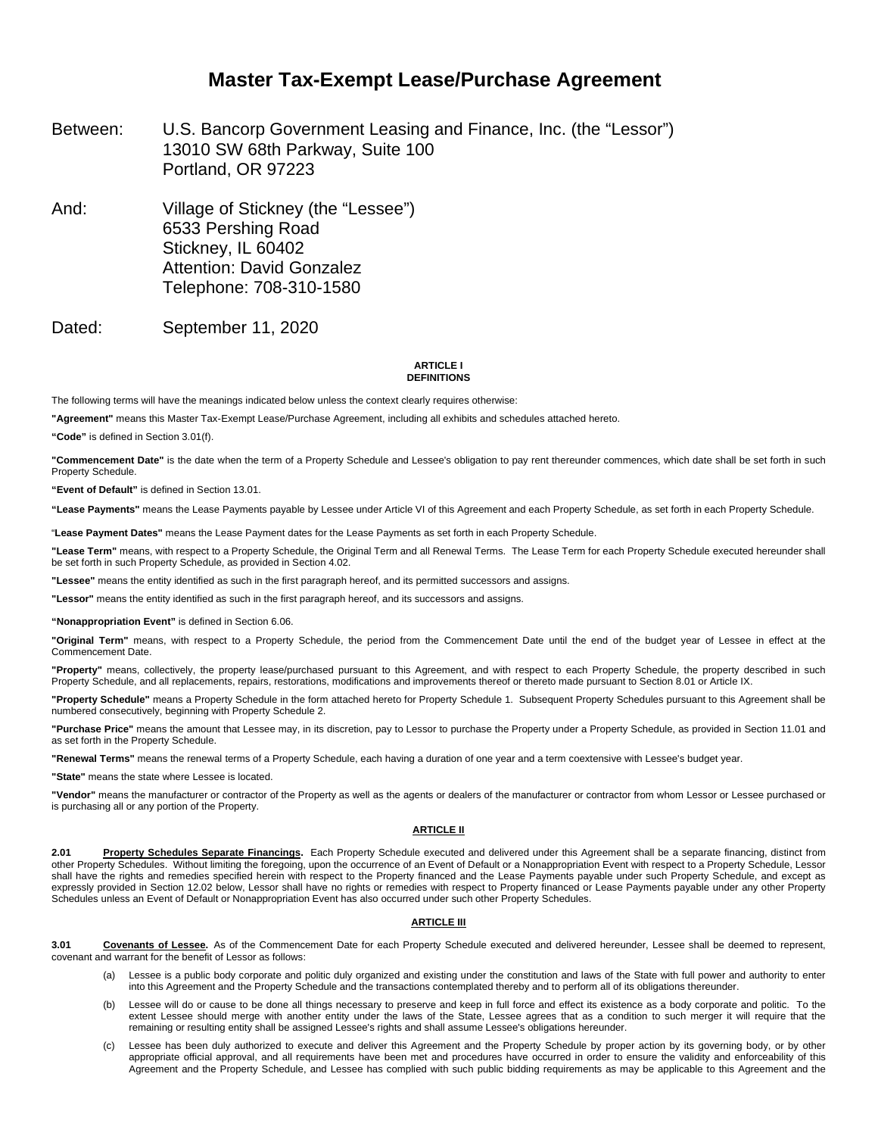## **Master Tax-Exempt Lease/Purchase Agreement**

- Between: U.S. Bancorp Government Leasing and Finance, Inc. (the "Lessor") 13010 SW 68th Parkway, Suite 100 Portland, OR 97223
- And: Village of Stickney (the "Lessee") 6533 Pershing Road Stickney, IL 60402 Attention: David Gonzalez Telephone: 708-310-1580
- Dated: September 11, 2020

#### **ARTICLE I DEFINITIONS**

The following terms will have the meanings indicated below unless the context clearly requires otherwise:

**"Agreement"** means this Master Tax-Exempt Lease/Purchase Agreement, including all exhibits and schedules attached hereto.

**"Code"** is defined in Section 3.01(f).

**"Commencement Date"** is the date when the term of a Property Schedule and Lessee's obligation to pay rent thereunder commences, which date shall be set forth in such Property Schedule.

**"Event of Default"** is defined in Section 13.01.

**"Lease Payments"** means the Lease Payments payable by Lessee under Article VI of this Agreement and each Property Schedule, as set forth in each Property Schedule.

"**Lease Payment Dates"** means the Lease Payment dates for the Lease Payments as set forth in each Property Schedule.

**"Lease Term"** means, with respect to a Property Schedule, the Original Term and all Renewal Terms. The Lease Term for each Property Schedule executed hereunder shall be set forth in such Property Schedule, as provided in Section 4.02.

**"Lessee"** means the entity identified as such in the first paragraph hereof, and its permitted successors and assigns.

**"Lessor"** means the entity identified as such in the first paragraph hereof, and its successors and assigns.

**"Nonappropriation Event"** is defined in Section 6.06.

**"Original Term"** means, with respect to a Property Schedule, the period from the Commencement Date until the end of the budget year of Lessee in effect at the Commencement Date.

**"Property"** means, collectively, the property lease/purchased pursuant to this Agreement, and with respect to each Property Schedule, the property described in such Property Schedule, and all replacements, repairs, restorations, modifications and improvements thereof or thereto made pursuant to Section 8.01 or Article IX.

**"Property Schedule"** means a Property Schedule in the form attached hereto for Property Schedule 1. Subsequent Property Schedules pursuant to this Agreement shall be numbered consecutively, beginning with Property Schedule 2.

**"Purchase Price"** means the amount that Lessee may, in its discretion, pay to Lessor to purchase the Property under a Property Schedule, as provided in Section 11.01 and as set forth in the Property Schedule.

**"Renewal Terms"** means the renewal terms of a Property Schedule, each having a duration of one year and a term coextensive with Lessee's budget year.

**"State"** means the state where Lessee is located.

**"Vendor"** means the manufacturer or contractor of the Property as well as the agents or dealers of the manufacturer or contractor from whom Lessor or Lessee purchased or is purchasing all or any portion of the Property.

#### **ARTICLE II**

**2.01 Property Schedules Separate Financings.** Each Property Schedule executed and delivered under this Agreement shall be a separate financing, distinct from other Property Schedules. Without limiting the foregoing, upon the occurrence of an Event of Default or a Nonappropriation Event with respect to a Property Schedule, Lessor shall have the rights and remedies specified herein with respect to the Property financed and the Lease Payments payable under such Property Schedule, and except as expressly provided in Section 12.02 below, Lessor shall have no rights or remedies with respect to Property financed or Lease Payments payable under any other Property Schedules unless an Event of Default or Nonappropriation Event has also occurred under such other Property Schedules.

#### **ARTICLE III**

**3.01 Covenants of Lessee.** As of the Commencement Date for each Property Schedule executed and delivered hereunder, Lessee shall be deemed to represent, covenant and warrant for the benefit of Lessor as follows:

- (a) Lessee is a public body corporate and politic duly organized and existing under the constitution and laws of the State with full power and authority to enter into this Agreement and the Property Schedule and the transactions contemplated thereby and to perform all of its obligations thereunder.
- (b) Lessee will do or cause to be done all things necessary to preserve and keep in full force and effect its existence as a body corporate and politic. To the extent Lessee should merge with another entity under the laws of the State, Lessee agrees that as a condition to such merger it will require that the remaining or resulting entity shall be assigned Lessee's rights and shall assume Lessee's obligations hereunder.
- (c) Lessee has been duly authorized to execute and deliver this Agreement and the Property Schedule by proper action by its governing body, or by other appropriate official approval, and all requirements have been met and procedures have occurred in order to ensure the validity and enforceability of this Agreement and the Property Schedule, and Lessee has complied with such public bidding requirements as may be applicable to this Agreement and the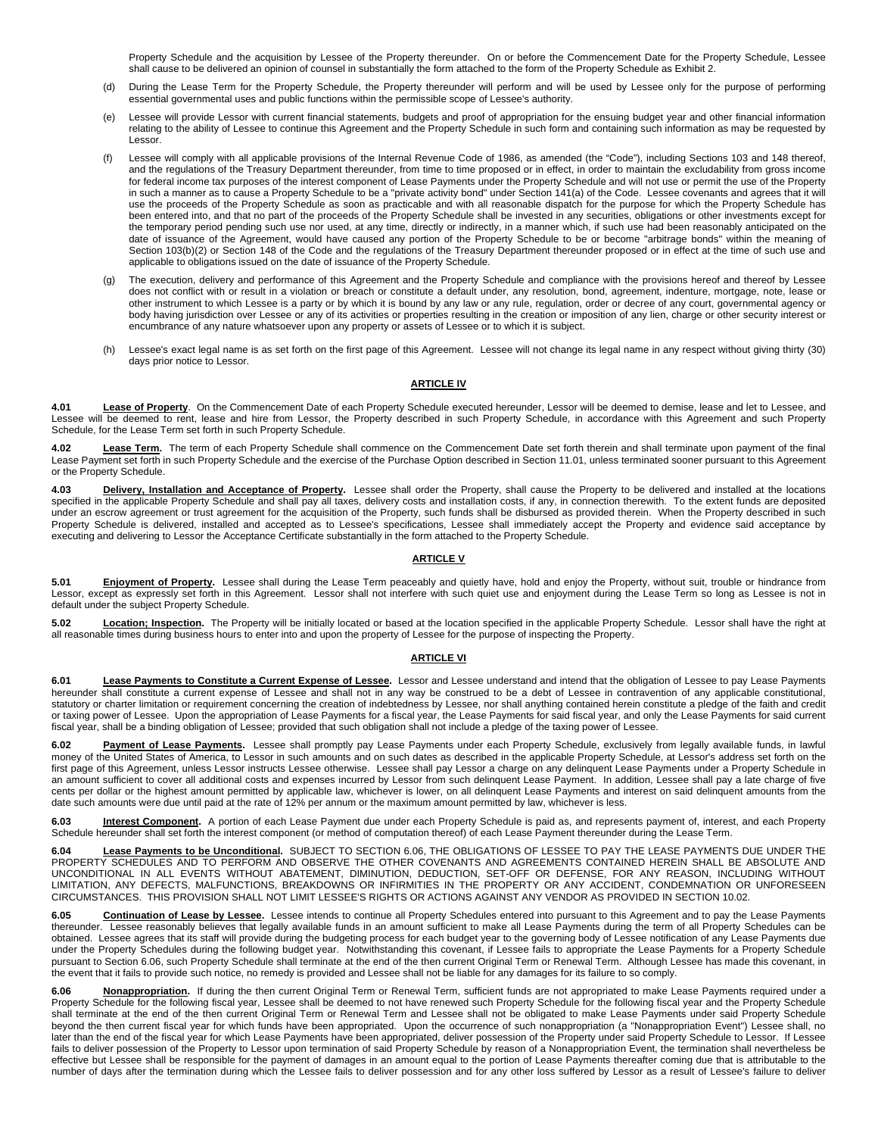Property Schedule and the acquisition by Lessee of the Property thereunder. On or before the Commencement Date for the Property Schedule, Lessee shall cause to be delivered an opinion of counsel in substantially the form attached to the form of the Property Schedule as Exhibit 2.

- (d) During the Lease Term for the Property Schedule, the Property thereunder will perform and will be used by Lessee only for the purpose of performing essential governmental uses and public functions within the permissible scope of Lessee's authority.
- (e) Lessee will provide Lessor with current financial statements, budgets and proof of appropriation for the ensuing budget year and other financial information relating to the ability of Lessee to continue this Agreement and the Property Schedule in such form and containing such information as may be requested by Lessor.
- Lessee will comply with all applicable provisions of the Internal Revenue Code of 1986, as amended (the "Code"), including Sections 103 and 148 thereof, and the regulations of the Treasury Department thereunder, from time to time proposed or in effect, in order to maintain the excludability from gross income for federal income tax purposes of the interest component of Lease Payments under the Property Schedule and will not use or permit the use of the Property in such a manner as to cause a Property Schedule to be a "private activity bond" under Section 141(a) of the Code. Lessee covenants and agrees that it will use the proceeds of the Property Schedule as soon as practicable and with all reasonable dispatch for the purpose for which the Property Schedule has been entered into, and that no part of the proceeds of the Property Schedule shall be invested in any securities, obligations or other investments except for the temporary period pending such use nor used, at any time, directly or indirectly, in a manner which, if such use had been reasonably anticipated on the date of issuance of the Agreement, would have caused any portion of the Property Schedule to be or become "arbitrage bonds" within the meaning of Section 103(b)(2) or Section 148 of the Code and the regulations of the Treasury Department thereunder proposed or in effect at the time of such use and applicable to obligations issued on the date of issuance of the Property Schedule.
- (g) The execution, delivery and performance of this Agreement and the Property Schedule and compliance with the provisions hereof and thereof by Lessee does not conflict with or result in a violation or breach or constitute a default under, any resolution, bond, agreement, indenture, mortgage, note, lease or other instrument to which Lessee is a party or by which it is bound by any law or any rule, regulation, order or decree of any court, governmental agency or body having jurisdiction over Lessee or any of its activities or properties resulting in the creation or imposition of any lien, charge or other security interest or encumbrance of any nature whatsoever upon any property or assets of Lessee or to which it is subject.
- (h) Lessee's exact legal name is as set forth on the first page of this Agreement. Lessee will not change its legal name in any respect without giving thirty (30) days prior notice to Lessor.

#### **ARTICLE IV**

**4.01 Lease of Property**. On the Commencement Date of each Property Schedule executed hereunder, Lessor will be deemed to demise, lease and let to Lessee, and Lessee will be deemed to rent, lease and hire from Lessor, the Property described in such Property Schedule, in accordance with this Agreement and such Property Schedule, for the Lease Term set forth in such Property Schedule.

4.02 **Lease Term.** The term of each Property Schedule shall commence on the Commencement Date set forth therein and shall terminate upon payment of the final Lease Payment set forth in such Property Schedule and the exercise of the Purchase Option described in Section 11.01, unless terminated sooner pursuant to this Agreement or the Property Schedule.

4.03 Delivery, Installation and Acceptance of Property. Lessee shall order the Property, shall cause the Property to be delivered and installed at the locations<br>specified in the applicable Property Schedule and shall pay a under an escrow agreement or trust agreement for the acquisition of the Property, such funds shall be disbursed as provided therein. When the Property described in such Property Schedule is delivered, installed and accepted as to Lessee's specifications, Lessee shall immediately accept the Property and evidence said acceptance by executing and delivering to Lessor the Acceptance Certificate substantially in the form attached to the Property Schedule.

#### **ARTICLE V**

5.01 **Enjoyment of Property.** Lessee shall during the Lease Term peaceably and quietly have, hold and enjoy the Property, without suit, trouble or hindrance from Lessor, except as expressly set forth in this Agreement. Lessor shall not interfere with such quiet use and enjoyment during the Lease Term so long as Lessee is not in default under the subject Property Schedule.

5.02 Location; Inspection. The Property will be initially located or based at the location specified in the applicable Property Schedule. Lessor shall have the right at all reasonable times during business hours to enter into and upon the property of Lessee for the purpose of inspecting the Property.

#### **ARTICLE VI**

**6.01 Lease Payments to Constitute a Current Expense of Lessee.** Lessor and Lessee understand and intend that the obligation of Lessee to pay Lease Payments hereunder shall constitute a current expense of Lessee and shall not in any way be construed to be a debt of Lessee in contravention of any applicable constitutional, statutory or charter limitation or requirement concerning the creation of indebtedness by Lessee, nor shall anything contained herein constitute a pledge of the faith and credit or taxing power of Lessee. Upon the appropriation of Lease Payments for a fiscal year, the Lease Payments for said fiscal year, and only the Lease Payments for said current fiscal year, shall be a binding obligation of Lessee; provided that such obligation shall not include a pledge of the taxing power of Lessee.

6.02 **Payment of Lease Payments**. Lessee shall promptly pay Lease Payments under each Property Schedule, exclusively from legally available funds, in lawful money of the United States of America, to Lessor in such amounts and on such dates as described in the applicable Property Schedule, at Lessor's address set forth on the first page of this Agreement, unless Lessor instructs Lessee otherwise. Lessee shall pay Lessor a charge on any delinquent Lease Payments under a Property Schedule in an amount sufficient to cover all additional costs and expenses incurred by Lessor from such delinquent Lease Payment. In addition, Lessee shall pay a late charge of five cents per dollar or the highest amount permitted by applicable law, whichever is lower, on all delinquent Lease Payments and interest on said delinquent amounts from the date such amounts were due until paid at the rate of 12% per annum or the maximum amount permitted by law, whichever is less.

**6.03 Interest Component.** A portion of each Lease Payment due under each Property Schedule is paid as, and represents payment of, interest, and each Property Schedule hereunder shall set forth the interest component (or method of computation thereof) of each Lease Payment thereunder during the Lease Term.

**6.04 Lease Payments to be Unconditional.** SUBJECT TO SECTION 6.06, THE OBLIGATIONS OF LESSEE TO PAY THE LEASE PAYMENTS DUE UNDER THE PROPERTY SCHEDULES AND TO PERFORM AND OBSERVE THE OTHER COVENANTS AND AGREEMENTS CONTAINED HEREIN SHALL BE ABSOLUTE AND UNCONDITIONAL IN ALL EVENTS WITHOUT ABATEMENT, DIMINUTION, DEDUCTION, SET-OFF OR DEFENSE, FOR ANY REASON, INCLUDING WITHOUT LIMITATION, ANY DEFECTS, MALFUNCTIONS, BREAKDOWNS OR INFIRMITIES IN THE PROPERTY OR ANY ACCIDENT, CONDEMNATION OR UNFORESEEN CIRCUMSTANCES. THIS PROVISION SHALL NOT LIMIT LESSEE'S RIGHTS OR ACTIONS AGAINST ANY VENDOR AS PROVIDED IN SECTION 10.02.

**6.05 Continuation of Lease by Lessee.** Lessee intends to continue all Property Schedules entered into pursuant to this Agreement and to pay the Lease Payments thereunder. Lessee reasonably believes that legally available funds in an amount sufficient to make all Lease Payments during the term of all Property Schedules can be obtained. Lessee agrees that its staff will provide during the budgeting process for each budget year to the governing body of Lessee notification of any Lease Payments due under the Property Schedules during the following budget year. Notwithstanding this covenant, if Lessee fails to appropriate the Lease Payments for a Property Schedule pursuant to Section 6.06, such Property Schedule shall terminate at the end of the then current Original Term or Renewal Term. Although Lessee has made this covenant, in the event that it fails to provide such notice, no remedy is provided and Lessee shall not be liable for any damages for its failure to so comply.

Nonappropriation. If during the then current Original Term or Renewal Term, sufficient funds are not appropriated to make Lease Payments required under a Property Schedule for the following fiscal year, Lessee shall be deemed to not have renewed such Property Schedule for the following fiscal year and the Property Schedule shall terminate at the end of the then current Original Term or Renewal Term and Lessee shall not be obligated to make Lease Payments under said Property Schedule beyond the then current fiscal year for which funds have been appropriated. Upon the occurrence of such nonappropriation (a "Nonappropriation Event") Lessee shall, no later than the end of the fiscal year for which Lease Payments have been appropriated, deliver possession of the Property under said Property Schedule to Lessor. If Lessee fails to deliver possession of the Property to Lessor upon termination of said Property Schedule by reason of a Nonappropriation Event, the termination shall nevertheless be effective but Lessee shall be responsible for the payment of damages in an amount equal to the portion of Lease Payments thereafter coming due that is attributable to the number of days after the termination during which the Lessee fails to deliver possession and for any other loss suffered by Lessor as a result of Lessee's failure to deliver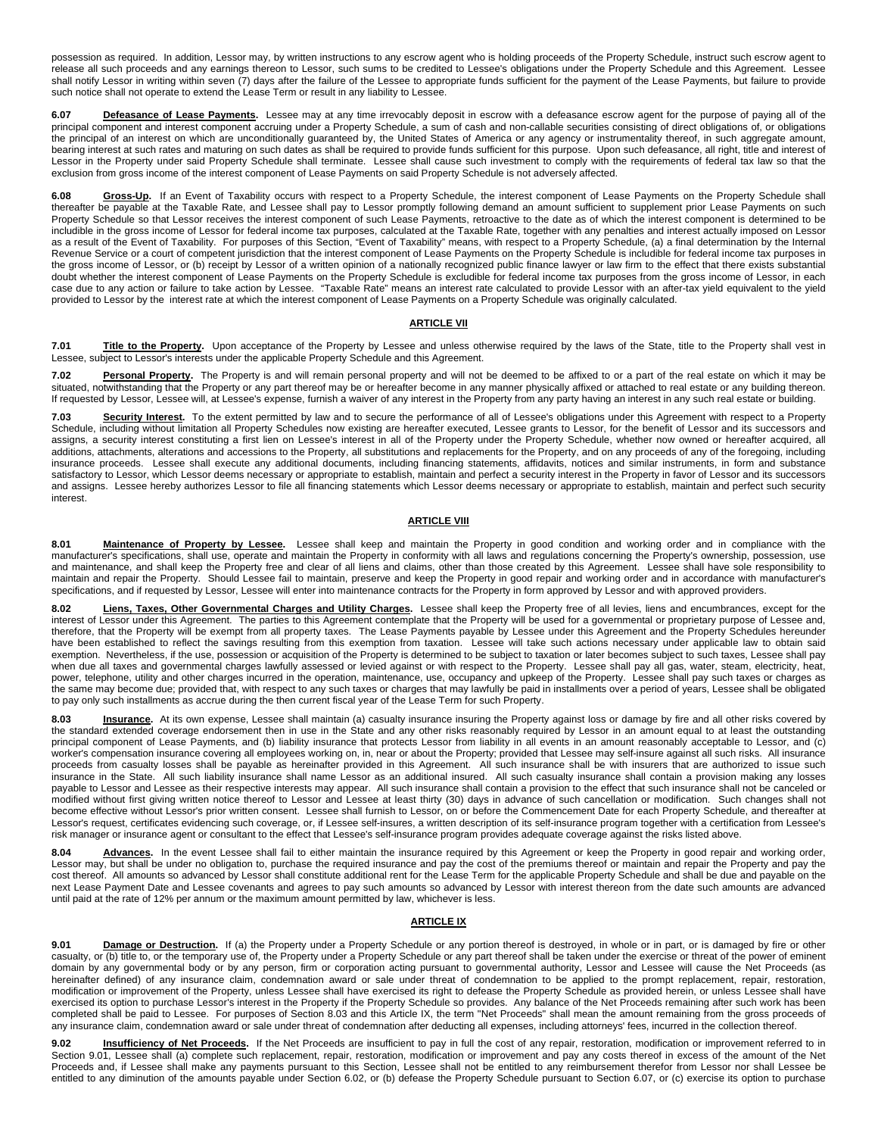possession as required. In addition, Lessor may, by written instructions to any escrow agent who is holding proceeds of the Property Schedule, instruct such escrow agent to release all such proceeds and any earnings thereon to Lessor, such sums to be credited to Lessee's obligations under the Property Schedule and this Agreement. Lessee shall notify Lessor in writing within seven (7) days after the failure of the Lessee to appropriate funds sufficient for the payment of the Lease Payments, but failure to provide such notice shall not operate to extend the Lease Term or result in any liability to Lessee.

**6.07 Defeasance of Lease Payments.** Lessee may at any time irrevocably deposit in escrow with a defeasance escrow agent for the purpose of paying all of the principal component and interest component accruing under a Property Schedule, a sum of cash and non-callable securities consisting of direct obligations of, or obligations the principal of an interest on which are unconditionally guaranteed by, the United States of America or any agency or instrumentality thereof, in such aggregate amount, bearing interest at such rates and maturing on such dates as shall be required to provide funds sufficient for this purpose. Upon such defeasance, all right, title and interest of Lessor in the Property under said Property Schedule shall terminate. Lessee shall cause such investment to comply with the requirements of federal tax law so that the exclusion from gross income of the interest component of Lease Payments on said Property Schedule is not adversely affected.

6.08 **Gross-Up.** If an Event of Taxability occurs with respect to a Property Schedule, the interest component of Lease Payments on the Property Schedule shall thereafter be payable at the Taxable Rate, and Lessee shall pay to Lessor promptly following demand an amount sufficient to supplement prior Lease Payments on such Property Schedule so that Lessor receives the interest component of such Lease Payments, retroactive to the date as of which the interest component is determined to be includible in the gross income of Lessor for federal income tax purposes, calculated at the Taxable Rate, together with any penalties and interest actually imposed on Lessor as a result of the Event of Taxability. For purposes of this Section, "Event of Taxability" means, with respect to a Property Schedule, (a) a final determination by the Internal Revenue Service or a court of competent jurisdiction that the interest component of Lease Payments on the Property Schedule is includible for federal income tax purposes in the gross income of Lessor, or (b) receipt by Lessor of a written opinion of a nationally recognized public finance lawyer or law firm to the effect that there exists substantial doubt whether the interest component of Lease Payments on the Property Schedule is excludible for federal income tax purposes from the gross income of Lessor, in each case due to any action or failure to take action by Lessee. "Taxable Rate" means an interest rate calculated to provide Lessor with an after-tax yield equivalent to the yield provided to Lessor by the interest rate at which the interest component of Lease Payments on a Property Schedule was originally calculated.

#### **ARTICLE VII**

**7.01 Title to the Property.** Upon acceptance of the Property by Lessee and unless otherwise required by the laws of the State, title to the Property shall vest in Lessee, subject to Lessor's interests under the applicable Property Schedule and this Agreement.

7.02 **Personal Property**. The Property is and will remain personal property and will not be deemed to be affixed to or a part of the real estate on which it may be situated, notwithstanding that the Property or any part thereof may be or hereafter become in any manner physically affixed or attached to real estate or any building thereon. If requested by Lessor, Lessee will, at Lessee's expense, furnish a waiver of any interest in the Property from any party having an interest in any such real estate or building.

**7.03 Security Interest.** To the extent permitted by law and to secure the performance of all of Lessee's obligations under this Agreement with respect to a Property Schedule, including without limitation all Property Schedules now existing are hereafter executed, Lessee grants to Lessor, for the benefit of Lessor and its successors and assigns, a security interest constituting a first lien on Lessee's interest in all of the Property under the Property Schedule, whether now owned or hereafter acquired, all additions, attachments, alterations and accessions to the Property, all substitutions and replacements for the Property, and on any proceeds of any of the foregoing, including insurance proceeds. Lessee shall execute any additional documents, including financing statements, affidavits, notices and similar instruments, in form and substance satisfactory to Lessor, which Lessor deems necessary or appropriate to establish, maintain and perfect a security interest in the Property in favor of Lessor and its successors and assigns. Lessee hereby authorizes Lessor to file all financing statements which Lessor deems necessary or appropriate to establish, maintain and perfect such security interest.

#### **ARTICLE VIII**

**8.01 Maintenance of Property by Lessee.** Lessee shall keep and maintain the Property in good condition and working order and in compliance with the manufacturer's specifications, shall use, operate and maintain the Property in conformity with all laws and regulations concerning the Property's ownership, possession, use and maintenance, and shall keep the Property free and clear of all liens and claims, other than those created by this Agreement. Lessee shall have sole responsibility to maintain and repair the Property. Should Lessee fail to maintain, preserve and keep the Property in good repair and working order and in accordance with manufacturer's specifications, and if requested by Lessor, Lessee will enter into maintenance contracts for the Property in form approved by Lessor and with approved providers.

8.02 **Liens, Taxes, Other Governmental Charges and Utility Charges.** Lessee shall keep the Property free of all levies, liens and encumbrances, except for the interest of Lessor under this Agreement. The parties to this Agreement contemplate that the Property will be used for a governmental or proprietary purpose of Lessee and, therefore, that the Property will be exempt from all property taxes. The Lease Payments payable by Lessee under this Agreement and the Property Schedules hereunder have been established to reflect the savings resulting from this exemption from taxation. Lessee will take such actions necessary under applicable law to obtain said exemption. Nevertheless, if the use, possession or acquisition of the Property is determined to be subject to taxation or later becomes subject to such taxes, Lessee shall pay when due all taxes and governmental charges lawfully assessed or levied against or with respect to the Property. Lessee shall pay all gas, water, steam, electricity, heat, power, telephone, utility and other charges incurred in the operation, maintenance, use, occupancy and upkeep of the Property. Lessee shall pay such taxes or charges as the same may become due; provided that, with respect to any such taxes or charges that may lawfully be paid in installments over a period of years, Lessee shall be obligated to pay only such installments as accrue during the then current fiscal year of the Lease Term for such Property.

8.03 **Insurance.** At its own expense, Lessee shall maintain (a) casualty insurance insuring the Property against loss or damage by fire and all other risks covered by the standard extended coverage endorsement then in use in the State and any other risks reasonably required by Lessor in an amount equal to at least the outstanding principal component of Lease Payments, and (b) liability insurance that protects Lessor from liability in all events in an amount reasonably acceptable to Lessor, and (c) worker's compensation insurance covering all employees working on, in, near or about the Property; provided that Lessee may self-insure against all such risks. All insurance proceeds from casualty losses shall be payable as hereinafter provided in this Agreement. All such insurance shall be with insurers that are authorized to issue such insurance in the State. All such liability insurance shall name Lessor as an additional insured. All such casualty insurance shall contain a provision making any losses payable to Lessor and Lessee as their respective interests may appear. All such insurance shall contain a provision to the effect that such insurance shall not be canceled or modified without first giving written notice thereof to Lessor and Lessee at least thirty (30) days in advance of such cancellation or modification. Such changes shall not become effective without Lessor's prior written consent. Lessee shall furnish to Lessor, on or before the Commencement Date for each Property Schedule, and thereafter at Lessor's request, certificates evidencing such coverage, or, if Lessee self-insures, a written description of its self-insurance program together with a certification from Lessee's risk manager or insurance agent or consultant to the effect that Lessee's self-insurance program provides adequate coverage against the risks listed above.

8.04 **Advances.** In the event Lessee shall fail to either maintain the insurance required by this Agreement or keep the Property in good repair and working order, Lessor may, but shall be under no obligation to, purchase the required insurance and pay the cost of the premiums thereof or maintain and repair the Property and pay the cost thereof. All amounts so advanced by Lessor shall constitute additional rent for the Lease Term for the applicable Property Schedule and shall be due and payable on the next Lease Payment Date and Lessee covenants and agrees to pay such amounts so advanced by Lessor with interest thereon from the date such amounts are advanced until paid at the rate of 12% per annum or the maximum amount permitted by law, whichever is less.

#### **ARTICLE IX**

**9.01 Damage or Destruction.** If (a) the Property under a Property Schedule or any portion thereof is destroyed, in whole or in part, or is damaged by fire or other casualty, or (b) title to, or the temporary use of, the Property under a Property Schedule or any part thereof shall be taken under the exercise or threat of the power of eminent domain by any governmental body or by any person, firm or corporation acting pursuant to governmental authority, Lessor and Lessee will cause the Net Proceeds (as hereinafter defined) of any insurance claim, condemnation award or sale under threat of condemnation to be applied to the prompt replacement, repair, restoration, modification or improvement of the Property, unless Lessee shall have exercised its right to defease the Property Schedule as provided herein, or unless Lessee shall have exercised its option to purchase Lessor's interest in the Property if the Property Schedule so provides. Any balance of the Net Proceeds remaining after such work has been completed shall be paid to Lessee. For purposes of Section 8.03 and this Article IX, the term "Net Proceeds" shall mean the amount remaining from the gross proceeds of any insurance claim, condemnation award or sale under threat of condemnation after deducting all expenses, including attorneys' fees, incurred in the collection thereof.

9.02 **Insufficiency of Net Proceeds**. If the Net Proceeds are insufficient to pay in full the cost of any repair, restoration, modification or improvement referred to in Section 9.01, Lessee shall (a) complete such replacement, repair, restoration, modification or improvement and pay any costs thereof in excess of the amount of the Net Proceeds and, if Lessee shall make any payments pursuant to this Section, Lessee shall not be entitled to any reimbursement therefor from Lessor nor shall Lessee be entitled to any diminution of the amounts payable under Section 6.02, or (b) defease the Property Schedule pursuant to Section 6.07, or (c) exercise its option to purchase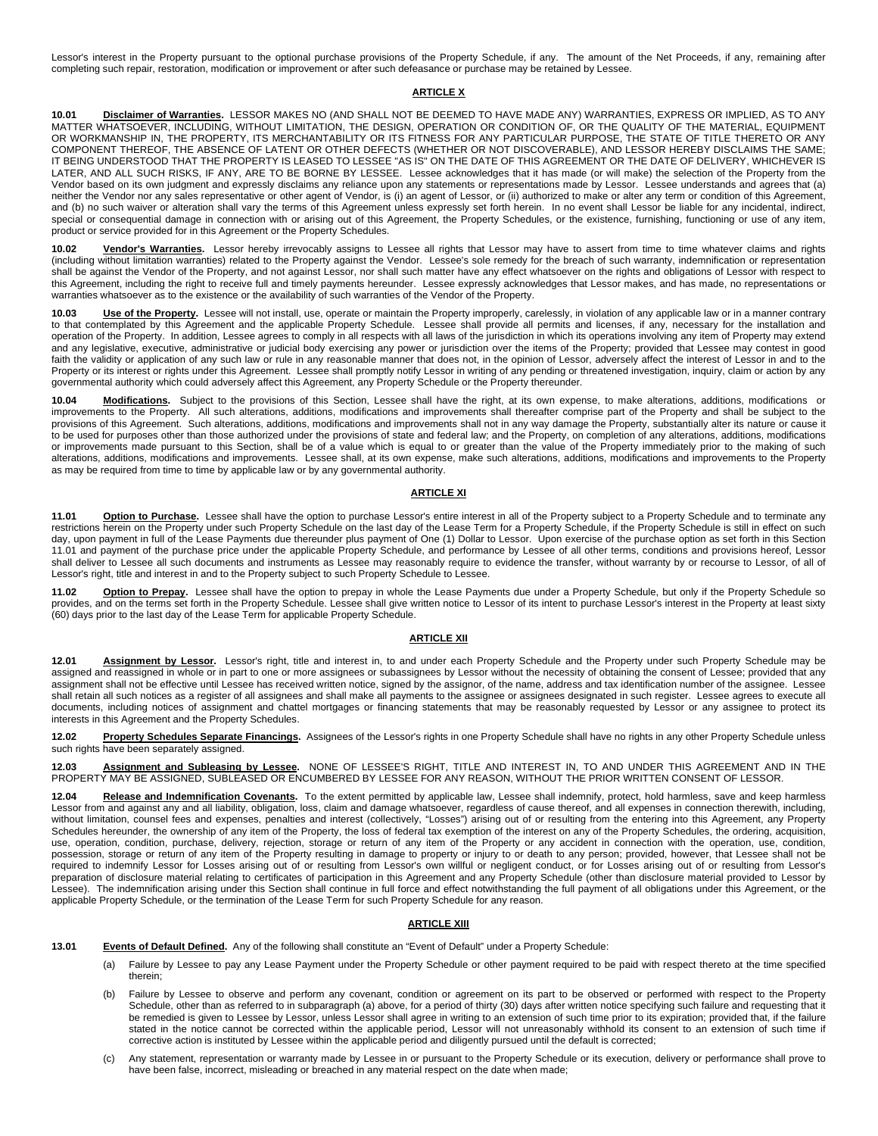Lessor's interest in the Property pursuant to the optional purchase provisions of the Property Schedule, if any. The amount of the Net Proceeds, if any, remaining after completing such repair, restoration, modification or improvement or after such defeasance or purchase may be retained by Lessee.

#### **ARTICLE X**

**10.01 Disclaimer of Warranties.** LESSOR MAKES NO (AND SHALL NOT BE DEEMED TO HAVE MADE ANY) WARRANTIES, EXPRESS OR IMPLIED, AS TO ANY MATTER WHATSOEVER, INCLUDING, WITHOUT LIMITATION, THE DESIGN, OPERATION OR CONDITION OF, OR THE QUALITY OF THE MATERIAL, EQUIPMENT OR WORKMANSHIP IN, THE PROPERTY, ITS MERCHANTABILITY OR ITS FITNESS FOR ANY PARTICULAR PURPOSE, THE STATE OF TITLE THERETO OR ANY COMPONENT THEREOF, THE ABSENCE OF LATENT OR OTHER DEFECTS (WHETHER OR NOT DISCOVERABLE), AND LESSOR HEREBY DISCLAIMS THE SAME; IT BEING UNDERSTOOD THAT THE PROPERTY IS LEASED TO LESSEE "AS IS" ON THE DATE OF THIS AGREEMENT OR THE DATE OF DELIVERY, WHICHEVER IS LATER, AND ALL SUCH RISKS, IF ANY, ARE TO BE BORNE BY LESSEE. Lessee acknowledges that it has made (or will make) the selection of the Property from the Vendor based on its own judgment and expressly disclaims any reliance upon any statements or representations made by Lessor. Lessee understands and agrees that (a) neither the Vendor nor any sales representative or other agent of Vendor, is (i) an agent of Lessor, or (ii) authorized to make or alter any term or condition of this Agreement, and (b) no such waiver or alteration shall vary the terms of this Agreement unless expressly set forth herein. In no event shall Lessor be liable for any incidental, indirect, special or consequential damage in connection with or arising out of this Agreement, the Property Schedules, or the existence, furnishing, functioning or use of any item, product or service provided for in this Agreement or the Property Schedules.

**10.02 Vendor's Warranties.** Lessor hereby irrevocably assigns to Lessee all rights that Lessor may have to assert from time to time whatever claims and rights (including without limitation warranties) related to the Property against the Vendor. Lessee's sole remedy for the breach of such warranty, indemnification or representation shall be against the Vendor of the Property, and not against Lessor, nor shall such matter have any effect whatsoever on the rights and obligations of Lessor with respect to this Agreement, including the right to receive full and timely payments hereunder. Lessee expressly acknowledges that Lessor makes, and has made, no representations or warranties whatsoever as to the existence or the availability of such warranties of the Vendor of the Property.

10.03 **Use of the Property.** Lessee will not install, use, operate or maintain the Property improperly, carelessly, in violation of any applicable law or in a manner contrary to that contemplated by this Agreement and the applicable Property Schedule. Lessee shall provide all permits and licenses, if any, necessary for the installation and operation of the Property. In addition, Lessee agrees to comply in all respects with all laws of the jurisdiction in which its operations involving any item of Property may extend and any legislative, executive, administrative or judicial body exercising any power or jurisdiction over the items of the Property; provided that Lessee may contest in good faith the validity or application of any such law or rule in any reasonable manner that does not, in the opinion of Lessor, adversely affect the interest of Lessor in and to the Property or its interest or rights under this Agreement. Lessee shall promptly notify Lessor in writing of any pending or threatened investigation, inquiry, claim or action by any governmental authority which could adversely affect this Agreement, any Property Schedule or the Property thereunder.

**10.04 Modifications.** Subject to the provisions of this Section, Lessee shall have the right, at its own expense, to make alterations, additions, modifications or improvements to the Property. All such alterations, additions, modifications and improvements shall thereafter comprise part of the Property and shall be subject to the provisions of this Agreement. Such alterations, additions, modifications and improvements shall not in any way damage the Property, substantially alter its nature or cause it to be used for purposes other than those authorized under the provisions of state and federal law; and the Property, on completion of any alterations, additions, modifications or improvements made pursuant to this Section, shall be of a value which is equal to or greater than the value of the Property immediately prior to the making of such alterations, additions, modifications and improvements. Lessee shall, at its own expense, make such alterations, additions, modifications and improvements to the Property as may be required from time to time by applicable law or by any governmental authority.

#### **ARTICLE XI**

**11.01 Option to Purchase.** Lessee shall have the option to purchase Lessor's entire interest in all of the Property subject to a Property Schedule and to terminate any restrictions herein on the Property under such Property Schedule on the last day of the Lease Term for a Property Schedule, if the Property Schedule is still in effect on such day, upon payment in full of the Lease Payments due thereunder plus payment of One (1) Dollar to Lessor. Upon exercise of the purchase option as set forth in this Section 11.01 and payment of the purchase price under the applicable Property Schedule, and performance by Lessee of all other terms, conditions and provisions hereof, Lessor shall deliver to Lessee all such documents and instruments as Lessee may reasonably require to evidence the transfer, without warranty by or recourse to Lessor, of all of Lessor's right, title and interest in and to the Property subject to such Property Schedule to Lessee.

**11.02 <u>Option to Prepay</u>.** Lessee shall have the option to prepay in whole the Lease Payments due under a Property Schedule, but only if the Property Schedule so<br>provides, and on the terms set forth in the Property Sche (60) days prior to the last day of the Lease Term for applicable Property Schedule.

#### **ARTICLE XII**

**12.01 Assignment by Lessor.** Lessor's right, title and interest in, to and under each Property Schedule and the Property under such Property Schedule may be assigned and reassigned in whole or in part to one or more assignees or subassignees by Lessor without the necessity of obtaining the consent of Lessee; provided that any assignment shall not be effective until Lessee has received written notice, signed by the assignor, of the name, address and tax identification number of the assignee. Lessee shall retain all such notices as a register of all assignees and shall make all payments to the assignee or assignees designated in such register. Lessee agrees to execute all documents, including notices of assignment and chattel mortgages or financing statements that may be reasonably requested by Lessor or any assignee to protect its interests in this Agreement and the Property Schedules.

**12.02 Property Schedules Separate Financings.** Assignees of the Lessor's rights in one Property Schedule shall have no rights in any other Property Schedule unless such rights have been separately assigned.

12.03 <u>Assignment and Subleasing by Lessee</u>. NONE OF LESSEE'S RIGHT, TITLE AND INTEREST IN, TO AND UNDER THIS AGREEMENT AND IN THE<br>PROPERTY MAY BE ASSIGNED, SUBLEASED OR ENCUMBERED BY LESSEE FOR ANY REASON, WITHOUT

**12.04 Release and Indemnification Covenants.** To the extent permitted by applicable law, Lessee shall indemnify, protect, hold harmless, save and keep harmless<br>Lessor from and against any and all liability, obligation, lo without limitation, counsel fees and expenses, penalties and interest (collectively, "Losses") arising out of or resulting from the entering into this Agreement, any Property Schedules hereunder, the ownership of any item of the Property, the loss of federal tax exemption of the interest on any of the Property Schedules, the ordering, acquisition, use, operation, condition, purchase, delivery, rejection, storage or return of any item of the Property or any accident in connection with the operation, use, condition, possession, storage or return of any item of the Property resulting in damage to property or injury to or death to any person; provided, however, that Lessee shall not be required to indemnify Lessor for Losses arising out of or resulting from Lessor's own willful or negligent conduct, or for Losses arising out of or resulting from Lessor's preparation of disclosure material relating to certificates of participation in this Agreement and any Property Schedule (other than disclosure material provided to Lessor by Lessee). The indemnification arising under this Section shall continue in full force and effect notwithstanding the full payment of all obligations under this Agreement, or the applicable Property Schedule, or the termination of the Lease Term for such Property Schedule for any reason.

#### **ARTICLE XIII**

**13.01 Events of Default Defined.** Any of the following shall constitute an "Event of Default" under a Property Schedule:

- (a) Failure by Lessee to pay any Lease Payment under the Property Schedule or other payment required to be paid with respect thereto at the time specified therein;
- Failure by Lessee to observe and perform any covenant, condition or agreement on its part to be observed or performed with respect to the Property Schedule, other than as referred to in subparagraph (a) above, for a period of thirty (30) days after written notice specifying such failure and requesting that it be remedied is given to Lessee by Lessor, unless Lessor shall agree in writing to an extension of such time prior to its expiration; provided that, if the failure stated in the notice cannot be corrected within the applicable period, Lessor will not unreasonably withhold its consent to an extension of such time if corrective action is instituted by Lessee within the applicable period and diligently pursued until the default is corrected;
- (c) Any statement, representation or warranty made by Lessee in or pursuant to the Property Schedule or its execution, delivery or performance shall prove to have been false, incorrect, misleading or breached in any material respect on the date when made;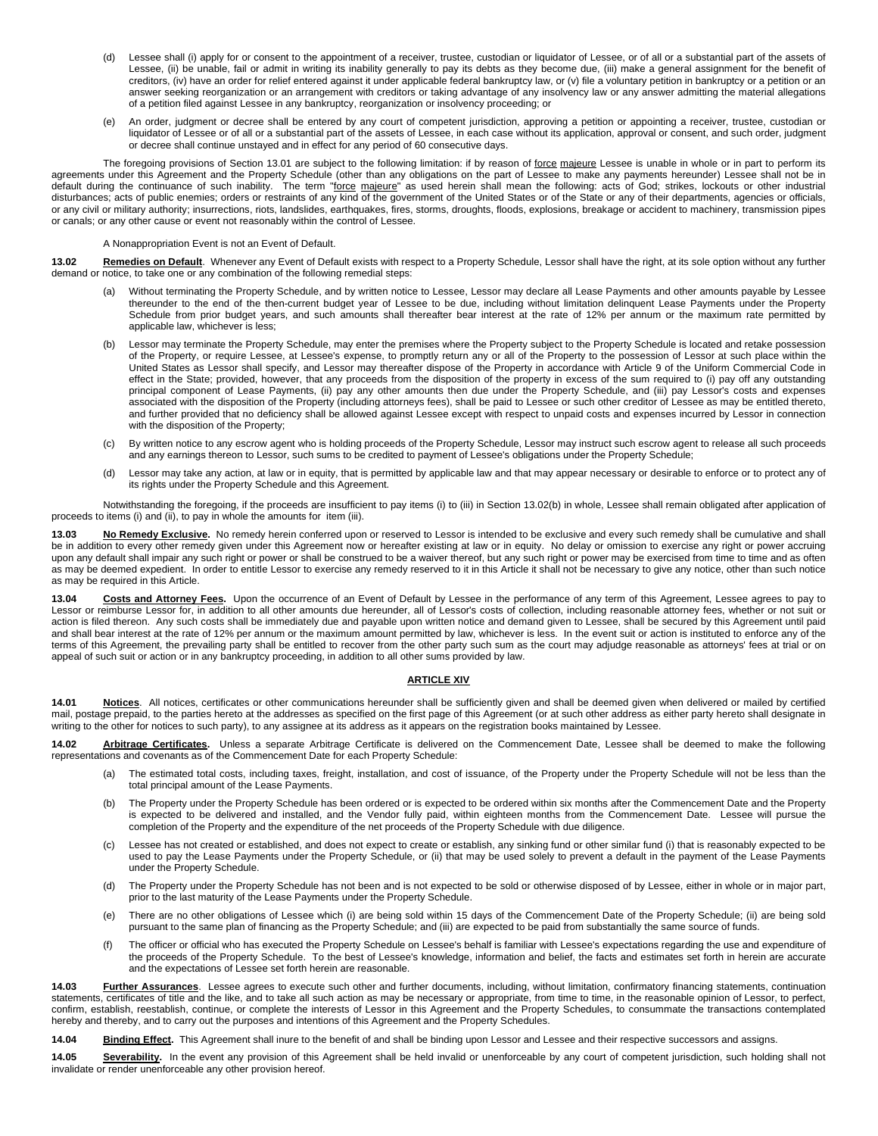- (d) Lessee shall (i) apply for or consent to the appointment of a receiver, trustee, custodian or liquidator of Lessee, or of all or a substantial part of the assets of Lessee, (ii) be unable, fail or admit in writing its inability generally to pay its debts as they become due, (iii) make a general assignment for the benefit of creditors, (iv) have an order for relief entered against it under applicable federal bankruptcy law, or (v) file a voluntary petition in bankruptcy or a petition or an answer seeking reorganization or an arrangement with creditors or taking advantage of any insolvency law or any answer admitting the material allegations of a petition filed against Lessee in any bankruptcy, reorganization or insolvency proceeding; or
- (e) An order, judgment or decree shall be entered by any court of competent jurisdiction, approving a petition or appointing a receiver, trustee, custodian or liquidator of Lessee or of all or a substantial part of the assets of Lessee, in each case without its application, approval or consent, and such order, judgment or decree shall continue unstayed and in effect for any period of 60 consecutive days.

The foregoing provisions of Section 13.01 are subject to the following limitation: if by reason of force majeure Lessee is unable in whole or in part to perform its agreements under this Agreement and the Property Schedule (other than any obligations on the part of Lessee to make any payments hereunder) Lessee shall not be in default during the continuance of such inability. The term "<u>force majeure</u>" as used herein shall mean the following: acts of God; strikes, lockouts or other industrial disturbances; acts of public enemies; orders or restraints of any kind of the government of the United States or of the State or any of their departments, agencies or officials, or any civil or military authority; insurrections, riots, landslides, earthquakes, fires, storms, droughts, floods, explosions, breakage or accident to machinery, transmission pipes or canals; or any other cause or event not reasonably within the control of Lessee.

A Nonappropriation Event is not an Event of Default.

13.02 Remedies on Default. Whenever any Event of Default exists with respect to a Property Schedule, Lessor shall have the right, at its sole option without any further demand or notice, to take one or any combination of the following remedial steps:

- (a) Without terminating the Property Schedule, and by written notice to Lessee, Lessor may declare all Lease Payments and other amounts payable by Lessee thereunder to the end of the then-current budget year of Lessee to be due, including without limitation delinquent Lease Payments under the Property Schedule from prior budget years, and such amounts shall thereafter bear interest at the rate of 12% per annum or the maximum rate permitted by applicable law, whichever is less;
- (b) Lessor may terminate the Property Schedule, may enter the premises where the Property subject to the Property Schedule is located and retake possession of the Property, or require Lessee, at Lessee's expense, to promptly return any or all of the Property to the possession of Lessor at such place within the United States as Lessor shall specify, and Lessor may thereafter dispose of the Property in accordance with Article 9 of the Uniform Commercial Code in effect in the State; provided, however, that any proceeds from the disposition of the property in excess of the sum required to (i) pay off any outstanding principal component of Lease Payments, (ii) pay any other amounts then due under the Property Schedule, and (iii) pay Lessor's costs and expenses associated with the disposition of the Property (including attorneys fees), shall be paid to Lessee or such other creditor of Lessee as may be entitled thereto, and further provided that no deficiency shall be allowed against Lessee except with respect to unpaid costs and expenses incurred by Lessor in connection with the disposition of the Property;
- (c) By written notice to any escrow agent who is holding proceeds of the Property Schedule, Lessor may instruct such escrow agent to release all such proceeds and any earnings thereon to Lessor, such sums to be credited to payment of Lessee's obligations under the Property Schedule;
- (d) Lessor may take any action, at law or in equity, that is permitted by applicable law and that may appear necessary or desirable to enforce or to protect any of its rights under the Property Schedule and this Agreement.

Notwithstanding the foregoing, if the proceeds are insufficient to pay items (i) to (iii) in Section 13.02(b) in whole, Lessee shall remain obligated after application of proceeds to items (i) and (ii), to pay in whole the amounts for item (iii).

**13.03 No Remedy Exclusive.** No remedy herein conferred upon or reserved to Lessor is intended to be exclusive and every such remedy shall be cumulative and shall be in addition to every other remedy given under this Agreement now or hereafter existing at law or in equity. No delay or omission to exercise any right or power accruing upon any default shall impair any such right or power or shall be construed to be a waiver thereof, but any such right or power may be exercised from time to time and as often as may be deemed expedient. In order to entitle Lessor to exercise any remedy reserved to it in this Article it shall not be necessary to give any notice, other than such notice as may be required in this Article.

**13.04 Costs and Attorney Fees.** Upon the occurrence of an Event of Default by Lessee in the performance of any term of this Agreement, Lessee agrees to pay to Lessor or reimburse Lessor for, in addition to all other amounts due hereunder, all of Lessor's costs of collection, including reasonable attorney fees, whether or not suit or action is filed thereon. Any such costs shall be immediately due and payable upon written notice and demand given to Lessee, shall be secured by this Agreement until paid and shall bear interest at the rate of 12% per annum or the maximum amount permitted by law, whichever is less. In the event suit or action is instituted to enforce any of the terms of this Agreement, the prevailing party shall be entitled to recover from the other party such sum as the court may adjudge reasonable as attorneys' fees at trial or on appeal of such suit or action or in any bankruptcy proceeding, in addition to all other sums provided by law.

#### **ARTICLE XIV**

**14.01 Notices**. All notices, certificates or other communications hereunder shall be sufficiently given and shall be deemed given when delivered or mailed by certified mail, postage prepaid, to the parties hereto at the addresses as specified on the first page of this Agreement (or at such other address as either party hereto shall designate in writing to the other for notices to such party), to any assignee at its address as it appears on the registration books maintained by Lessee.

**14.02 Arbitrage Certificates.** Unless a separate Arbitrage Certificate is delivered on the Commencement Date, Lessee shall be deemed to make the following representations and covenants as of the Commencement Date for each Property Schedule:

- (a) The estimated total costs, including taxes, freight, installation, and cost of issuance, of the Property under the Property Schedule will not be less than the total principal amount of the Lease Payments.
- (b) The Property under the Property Schedule has been ordered or is expected to be ordered within six months after the Commencement Date and the Property is expected to be delivered and installed, and the Vendor fully paid, within eighteen months from the Commencement Date. Lessee will pursue the completion of the Property and the expenditure of the net proceeds of the Property Schedule with due diligence.
- (c) Lessee has not created or established, and does not expect to create or establish, any sinking fund or other similar fund (i) that is reasonably expected to be used to pay the Lease Payments under the Property Schedule, or (ii) that may be used solely to prevent a default in the payment of the Lease Payments under the Property Schedule.
- (d) The Property under the Property Schedule has not been and is not expected to be sold or otherwise disposed of by Lessee, either in whole or in major part, prior to the last maturity of the Lease Payments under the Property Schedule.
- (e) There are no other obligations of Lessee which (i) are being sold within 15 days of the Commencement Date of the Property Schedule; (ii) are being sold pursuant to the same plan of financing as the Property Schedule; and (iii) are expected to be paid from substantially the same source of funds.
- (f) The officer or official who has executed the Property Schedule on Lessee's behalf is familiar with Lessee's expectations regarding the use and expenditure of the proceeds of the Property Schedule. To the best of Lessee's knowledge, information and belief, the facts and estimates set forth in herein are accurate and the expectations of Lessee set forth herein are reasonable.

**14.03 Further Assurances**. Lessee agrees to execute such other and further documents, including, without limitation, confirmatory financing statements, continuation statements, certificates of title and the like, and to take all such action as may be necessary or appropriate, from time to time, in the reasonable opinion of Lessor, to perfect, confirm, establish, reestablish, continue, or complete the interests of Lessor in this Agreement and the Property Schedules, to consummate the transactions contemplated hereby and thereby, and to carry out the purposes and intentions of this Agreement and the Property Schedules.

**14.04 Binding Effect.** This Agreement shall inure to the benefit of and shall be binding upon Lessor and Lessee and their respective successors and assigns.

14.05 Severability. In the event any provision of this Agreement shall be held invalid or unenforceable by any court of competent jurisdiction, such holding shall not invalidate or render unenforceable any other provision hereof.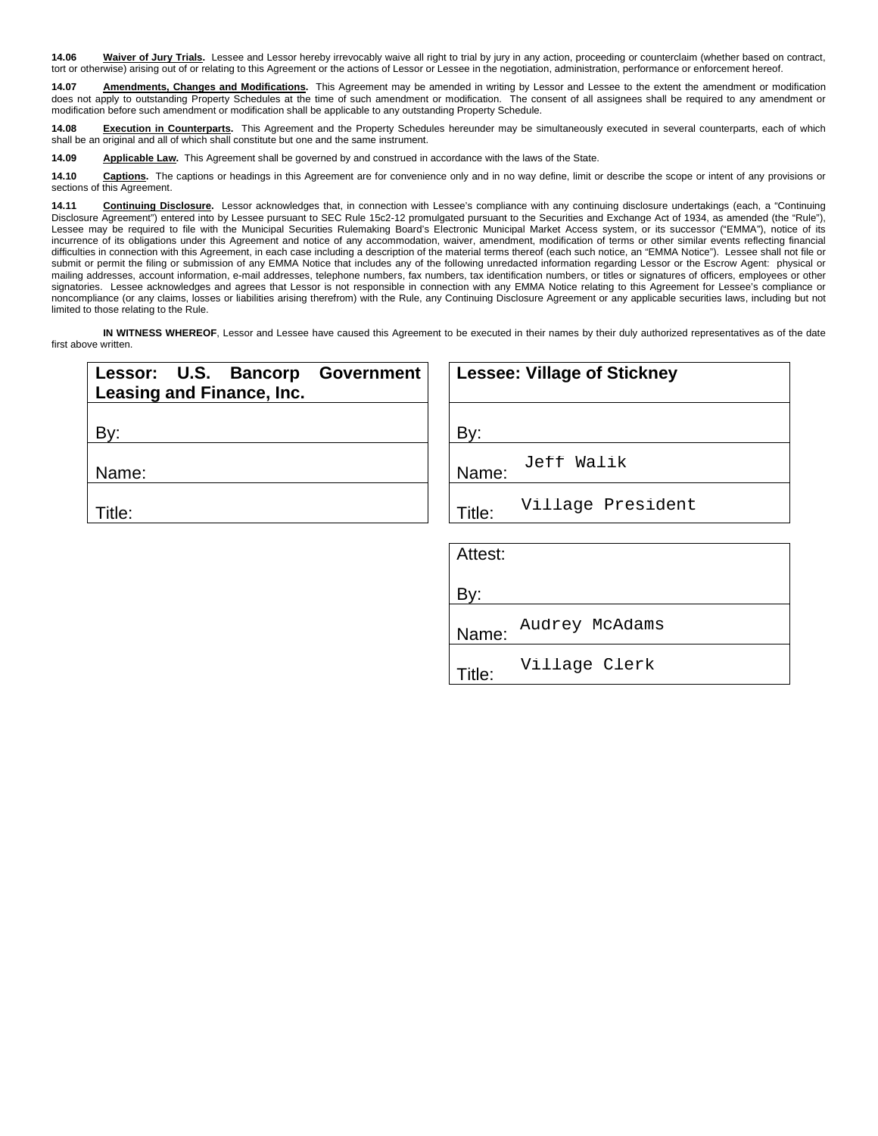**14.06 Waiver of Jury Trials.** Lessee and Lessor hereby irrevocably waive all right to trial by jury in any action, proceeding or counterclaim (whether based on contract, tort or otherwise) arising out of or relating to this Agreement or the actions of Lessor or Lessee in the negotiation, administration, performance or enforcement hereof.

**14.07 Amendments, Changes and Modifications.** This Agreement may be amended in writing by Lessor and Lessee to the extent the amendment or modification does not apply to outstanding Property Schedules at the time of such amendment or modification. The consent of all assignees shall be required to any amendment or modification before such amendment or modification shall be applicable to any outstanding Property Schedule.

**14.08 Execution in Counterparts**. This Agreement and the Property Schedules hereunder may be simultaneously executed in several counterparts, each of which<br>shall be an original and all of which shall constitute but one an

**14.09 Applicable Law.** This Agreement shall be governed by and construed in accordance with the laws of the State.

14.10 **Captions**. The captions or headings in this Agreement are for convenience only and in no way define, limit or describe the scope or intent of any provisions or sections of this Agreement.

**14.11 Continuing Disclosure.** Lessor acknowledges that, in connection with Lessee's compliance with any continuing disclosure undertakings (each, a "Continuing Disclosure Agreement") entered into by Lessee pursuant to SEC Rule 15c2-12 promulgated pursuant to the Securities and Exchange Act of 1934, as amended (the "Rule"), Lessee may be required to file with the Municipal Securities Rulemaking Board's Electronic Municipal Market Access system, or its successor ("EMMA"), notice of its incurrence of its obligations under this Agreement and notice of any accommodation, waiver, amendment, modification of terms or other similar events reflecting financial difficulties in connection with this Agreement, in each case including a description of the material terms thereof (each such notice, an "EMMA Notice"). Lessee shall not file or submit or permit the filing or submission of any EMMA Notice that includes any of the following unredacted information regarding Lessor or the Escrow Agent: physical or mailing addresses, account information, e-mail addresses, telephone numbers, fax numbers, tax identification numbers, or titles or signatures of officers, employees or other signatories. Lessee acknowledges and agrees that Lessor is not responsible in connection with any EMMA Notice relating to this Agreement for Lessee's compliance or noncompliance (or any claims, losses or liabilities arising therefrom) with the Rule, any Continuing Disclosure Agreement or any applicable securities laws, including but not limited to those relating to the Rule.

**IN WITNESS WHEREOF**, Lessor and Lessee have caused this Agreement to be executed in their names by their duly authorized representatives as of the date first above written.

| Lessor: U.S. Bancorp<br><b>Government</b><br>Leasing and Finance, Inc. | <b>Lessee: Village of Stickney</b> |
|------------------------------------------------------------------------|------------------------------------|
| By:                                                                    | By:                                |
| Name:                                                                  | Jeff Walik<br>Name:                |
| Title:                                                                 | Village President<br>Title:        |
|                                                                        | Attest:                            |
|                                                                        | By:                                |
|                                                                        | Audrey McAdams<br>Name:            |
|                                                                        | Village Clerk<br>$T^*$ ilor        |

Title: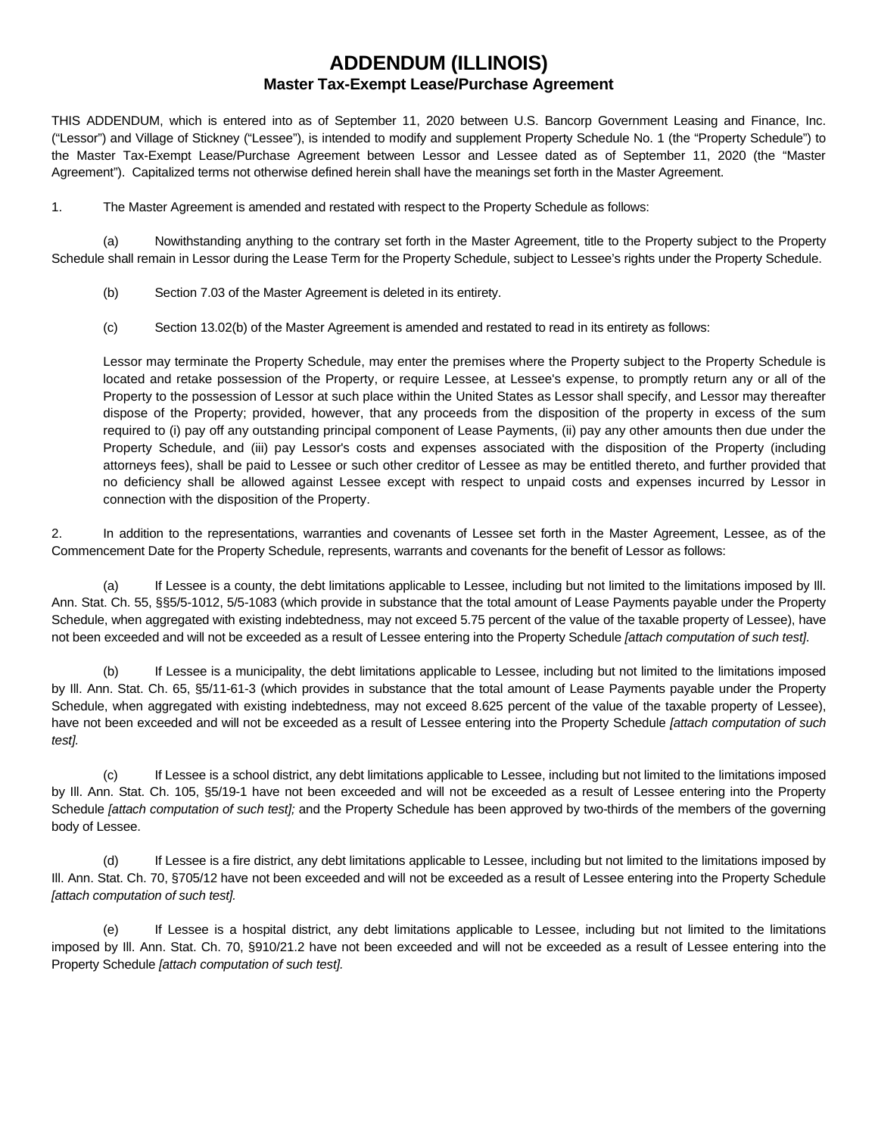## **ADDENDUM (ILLINOIS) Master Tax-Exempt Lease/Purchase Agreement**

THIS ADDENDUM, which is entered into as of September 11, 2020 between U.S. Bancorp Government Leasing and Finance, Inc. ("Lessor") and Village of Stickney ("Lessee"), is intended to modify and supplement Property Schedule No. 1 (the "Property Schedule") to the Master Tax-Exempt Lease/Purchase Agreement between Lessor and Lessee dated as of September 11, 2020 (the "Master Agreement"). Capitalized terms not otherwise defined herein shall have the meanings set forth in the Master Agreement.

1. The Master Agreement is amended and restated with respect to the Property Schedule as follows:

(a) Nowithstanding anything to the contrary set forth in the Master Agreement, title to the Property subject to the Property Schedule shall remain in Lessor during the Lease Term for the Property Schedule, subject to Lessee's rights under the Property Schedule.

- (b) Section 7.03 of the Master Agreement is deleted in its entirety.
- (c) Section 13.02(b) of the Master Agreement is amended and restated to read in its entirety as follows:

Lessor may terminate the Property Schedule, may enter the premises where the Property subject to the Property Schedule is located and retake possession of the Property, or require Lessee, at Lessee's expense, to promptly return any or all of the Property to the possession of Lessor at such place within the United States as Lessor shall specify, and Lessor may thereafter dispose of the Property; provided, however, that any proceeds from the disposition of the property in excess of the sum required to (i) pay off any outstanding principal component of Lease Payments, (ii) pay any other amounts then due under the Property Schedule, and (iii) pay Lessor's costs and expenses associated with the disposition of the Property (including attorneys fees), shall be paid to Lessee or such other creditor of Lessee as may be entitled thereto, and further provided that no deficiency shall be allowed against Lessee except with respect to unpaid costs and expenses incurred by Lessor in connection with the disposition of the Property.

2. In addition to the representations, warranties and covenants of Lessee set forth in the Master Agreement, Lessee, as of the Commencement Date for the Property Schedule, represents, warrants and covenants for the benefit of Lessor as follows:

(a) If Lessee is a county, the debt limitations applicable to Lessee, including but not limited to the limitations imposed by Ill. Ann. Stat. Ch. 55, §§5/5-1012, 5/5-1083 (which provide in substance that the total amount of Lease Payments payable under the Property Schedule, when aggregated with existing indebtedness, may not exceed 5.75 percent of the value of the taxable property of Lessee), have not been exceeded and will not be exceeded as a result of Lessee entering into the Property Schedule *[attach computation of such test]*.

(b) If Lessee is a municipality, the debt limitations applicable to Lessee, including but not limited to the limitations imposed by Ill. Ann. Stat. Ch. 65, §5/11-61-3 (which provides in substance that the total amount of Lease Payments payable under the Property Schedule, when aggregated with existing indebtedness, may not exceed 8.625 percent of the value of the taxable property of Lessee), have not been exceeded and will not be exceeded as a result of Lessee entering into the Property Schedule *[attach computation of such test].*

(c) If Lessee is a school district, any debt limitations applicable to Lessee, including but not limited to the limitations imposed by Ill. Ann. Stat. Ch. 105, §5/19-1 have not been exceeded and will not be exceeded as a result of Lessee entering into the Property Schedule *[attach computation of such test];* and the Property Schedule has been approved by two-thirds of the members of the governing body of Lessee.

(d) If Lessee is a fire district, any debt limitations applicable to Lessee, including but not limited to the limitations imposed by Ill. Ann. Stat. Ch. 70, §705/12 have not been exceeded and will not be exceeded as a result of Lessee entering into the Property Schedule *[attach computation of such test].*

(e) If Lessee is a hospital district, any debt limitations applicable to Lessee, including but not limited to the limitations imposed by Ill. Ann. Stat. Ch. 70, §910/21.2 have not been exceeded and will not be exceeded as a result of Lessee entering into the Property Schedule *[attach computation of such test].*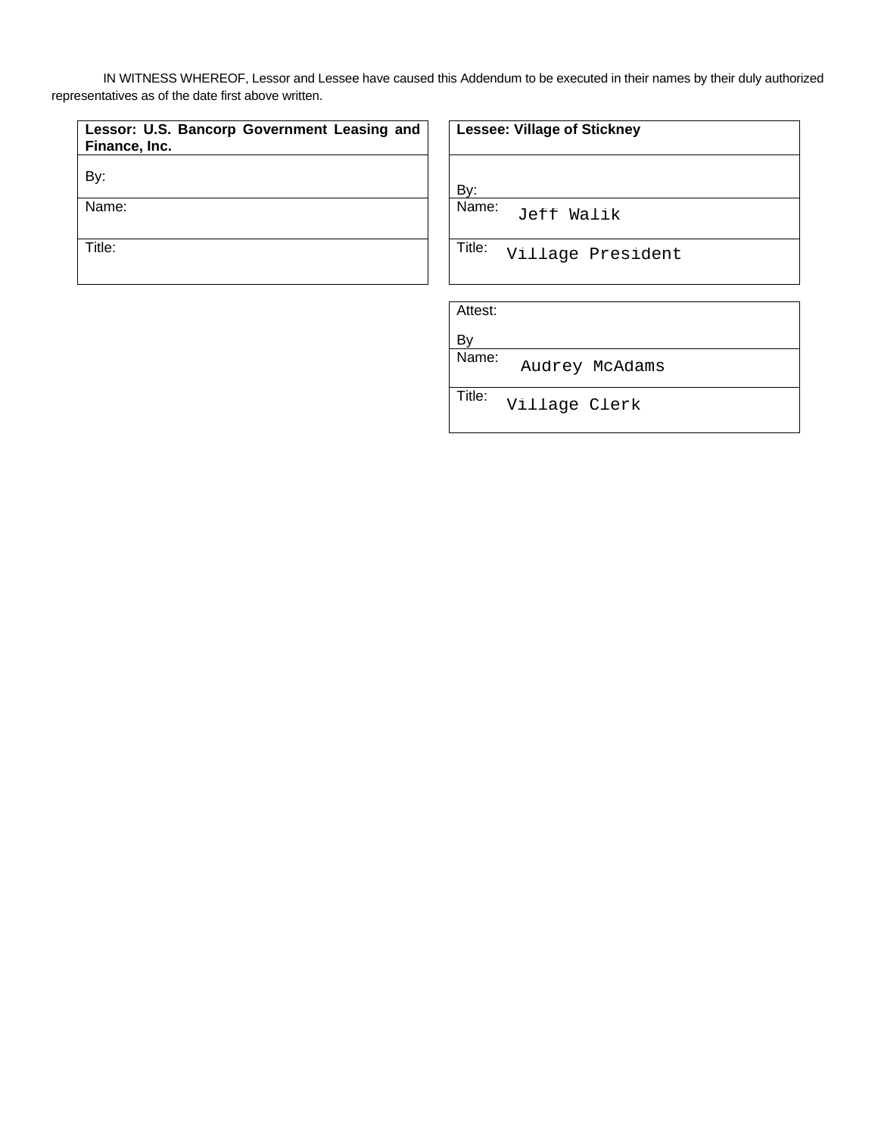IN WITNESS WHEREOF, Lessor and Lessee have caused this Addendum to be executed in their names by their duly authorized representatives as of the date first above written.

| Lessor: U.S. Bancorp Government Leasing and<br>Finance, Inc. | <b>Lesse</b> |
|--------------------------------------------------------------|--------------|
| By:                                                          | Bv:          |
| Name:                                                        | Name:        |
| Title:                                                       | Title:       |

| <b>Lessee: Village of Stickney</b> |  |
|------------------------------------|--|
|------------------------------------|--|

Jeff Walik<br>Village President<br>Audrey McAdams<br>Village Clerk

Attest:

By

Title:

Name: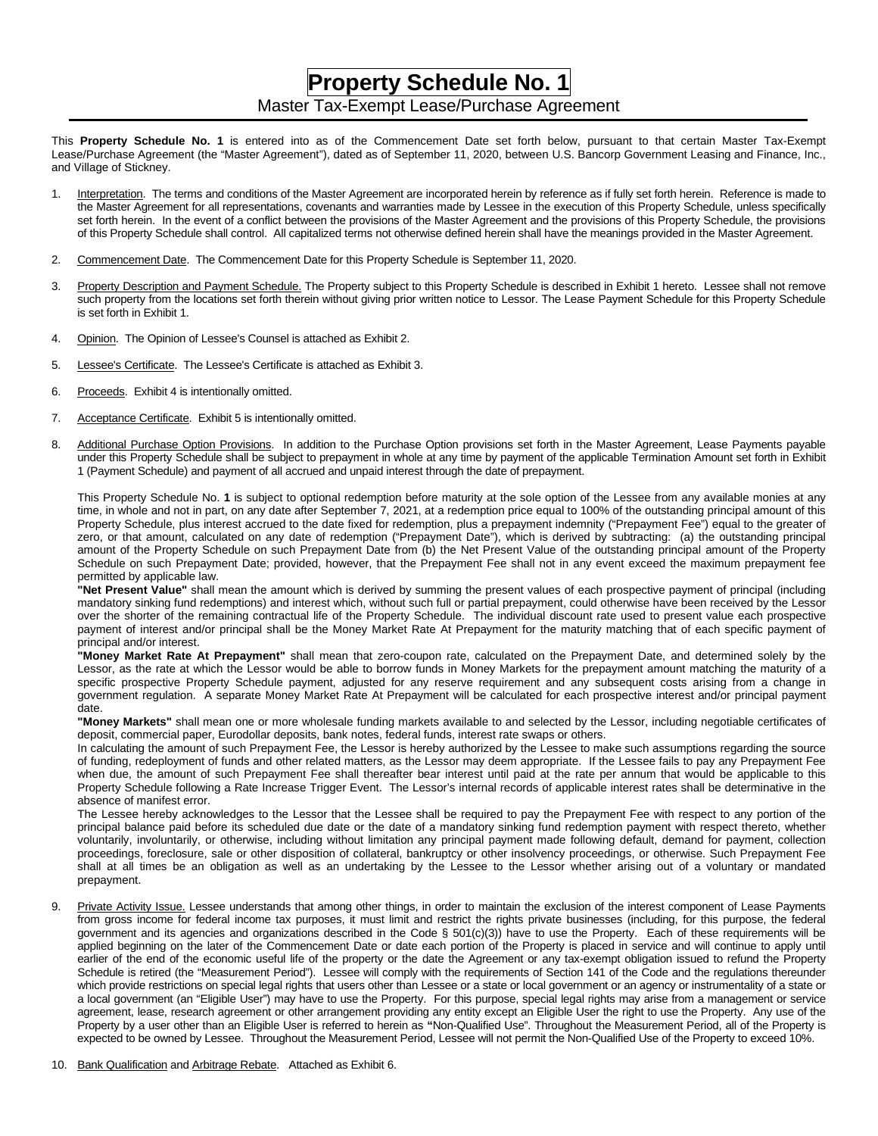## **Property Schedule No. 1** Master Tax-Exempt Lease/Purchase Agreement

This **Property Schedule No. 1** is entered into as of the Commencement Date set forth below, pursuant to that certain Master Tax-Exempt Lease/Purchase Agreement (the "Master Agreement"), dated as of September 11, 2020, between U.S. Bancorp Government Leasing and Finance, Inc., and Village of Stickney.

- 1. Interpretation. The terms and conditions of the Master Agreement are incorporated herein by reference as if fully set forth herein. Reference is made to the Master Agreement for all representations, covenants and warranties made by Lessee in the execution of this Property Schedule, unless specifically set forth herein. In the event of a conflict between the provisions of the Master Agreement and the provisions of this Property Schedule, the provisions of this Property Schedule shall control. All capitalized terms not otherwise defined herein shall have the meanings provided in the Master Agreement.
- 2. Commencement Date. The Commencement Date for this Property Schedule is September 11, 2020.
- 3. Property Description and Payment Schedule. The Property subject to this Property Schedule is described in Exhibit 1 hereto. Lessee shall not remove such property from the locations set forth therein without giving prior written notice to Lessor. The Lease Payment Schedule for this Property Schedule is set forth in Exhibit 1.
- 4. Opinion. The Opinion of Lessee's Counsel is attached as Exhibit 2.
- 5. Lessee's Certificate. The Lessee's Certificate is attached as Exhibit 3.
- 6. Proceeds. Exhibit 4 is intentionally omitted.
- 7. Acceptance Certificate. Exhibit 5 is intentionally omitted.
- 8. Additional Purchase Option Provisions. In addition to the Purchase Option provisions set forth in the Master Agreement, Lease Payments payable under this Property Schedule shall be subject to prepayment in whole at any time by payment of the applicable Termination Amount set forth in Exhibit 1 (Payment Schedule) and payment of all accrued and unpaid interest through the date of prepayment.

This Property Schedule No. **1** is subject to optional redemption before maturity at the sole option of the Lessee from any available monies at any time, in whole and not in part, on any date after September 7, 2021, at a redemption price equal to 100% of the outstanding principal amount of this Property Schedule, plus interest accrued to the date fixed for redemption, plus a prepayment indemnity ("Prepayment Fee") equal to the greater of zero, or that amount, calculated on any date of redemption ("Prepayment Date"), which is derived by subtracting: (a) the outstanding principal amount of the Property Schedule on such Prepayment Date from (b) the Net Present Value of the outstanding principal amount of the Property Schedule on such Prepayment Date; provided, however, that the Prepayment Fee shall not in any event exceed the maximum prepayment fee permitted by applicable law.

**"Net Present Value"** shall mean the amount which is derived by summing the present values of each prospective payment of principal (including mandatory sinking fund redemptions) and interest which, without such full or partial prepayment, could otherwise have been received by the Lessor over the shorter of the remaining contractual life of the Property Schedule. The individual discount rate used to present value each prospective payment of interest and/or principal shall be the Money Market Rate At Prepayment for the maturity matching that of each specific payment of principal and/or interest.

**"Money Market Rate At Prepayment"** shall mean that zero-coupon rate, calculated on the Prepayment Date, and determined solely by the Lessor, as the rate at which the Lessor would be able to borrow funds in Money Markets for the prepayment amount matching the maturity of a specific prospective Property Schedule payment, adjusted for any reserve requirement and any subsequent costs arising from a change in government regulation. A separate Money Market Rate At Prepayment will be calculated for each prospective interest and/or principal payment date.

**"Money Markets"** shall mean one or more wholesale funding markets available to and selected by the Lessor, including negotiable certificates of deposit, commercial paper, Eurodollar deposits, bank notes, federal funds, interest rate swaps or others.

In calculating the amount of such Prepayment Fee, the Lessor is hereby authorized by the Lessee to make such assumptions regarding the source of funding, redeployment of funds and other related matters, as the Lessor may deem appropriate. If the Lessee fails to pay any Prepayment Fee when due, the amount of such Prepayment Fee shall thereafter bear interest until paid at the rate per annum that would be applicable to this Property Schedule following a Rate Increase Trigger Event. The Lessor's internal records of applicable interest rates shall be determinative in the absence of manifest error.

The Lessee hereby acknowledges to the Lessor that the Lessee shall be required to pay the Prepayment Fee with respect to any portion of the principal balance paid before its scheduled due date or the date of a mandatory sinking fund redemption payment with respect thereto, whether voluntarily, involuntarily, or otherwise, including without limitation any principal payment made following default, demand for payment, collection proceedings, foreclosure, sale or other disposition of collateral, bankruptcy or other insolvency proceedings, or otherwise. Such Prepayment Fee shall at all times be an obligation as well as an undertaking by the Lessee to the Lessor whether arising out of a voluntary or mandated prepayment.

- 9. Private Activity Issue. Lessee understands that among other things, in order to maintain the exclusion of the interest component of Lease Payments from gross income for federal income tax purposes, it must limit and restrict the rights private businesses (including, for this purpose, the federal government and its agencies and organizations described in the Code § 501(c)(3)) have to use the Property. Each of these requirements will be applied beginning on the later of the Commencement Date or date each portion of the Property is placed in service and will continue to apply until earlier of the end of the economic useful life of the property or the date the Agreement or any tax-exempt obligation issued to refund the Property Schedule is retired (the "Measurement Period"). Lessee will comply with the requirements of Section 141 of the Code and the regulations thereunder which provide restrictions on special legal rights that users other than Lessee or a state or local government or an agency or instrumentality of a state or a local government (an "Eligible User") may have to use the Property. For this purpose, special legal rights may arise from a management or service agreement, lease, research agreement or other arrangement providing any entity except an Eligible User the right to use the Property. Any use of the Property by a user other than an Eligible User is referred to herein as **"**Non-Qualified Use". Throughout the Measurement Period, all of the Property is expected to be owned by Lessee. Throughout the Measurement Period, Lessee will not permit the Non-Qualified Use of the Property to exceed 10%.
- 10. Bank Qualification and Arbitrage Rebate. Attached as Exhibit 6.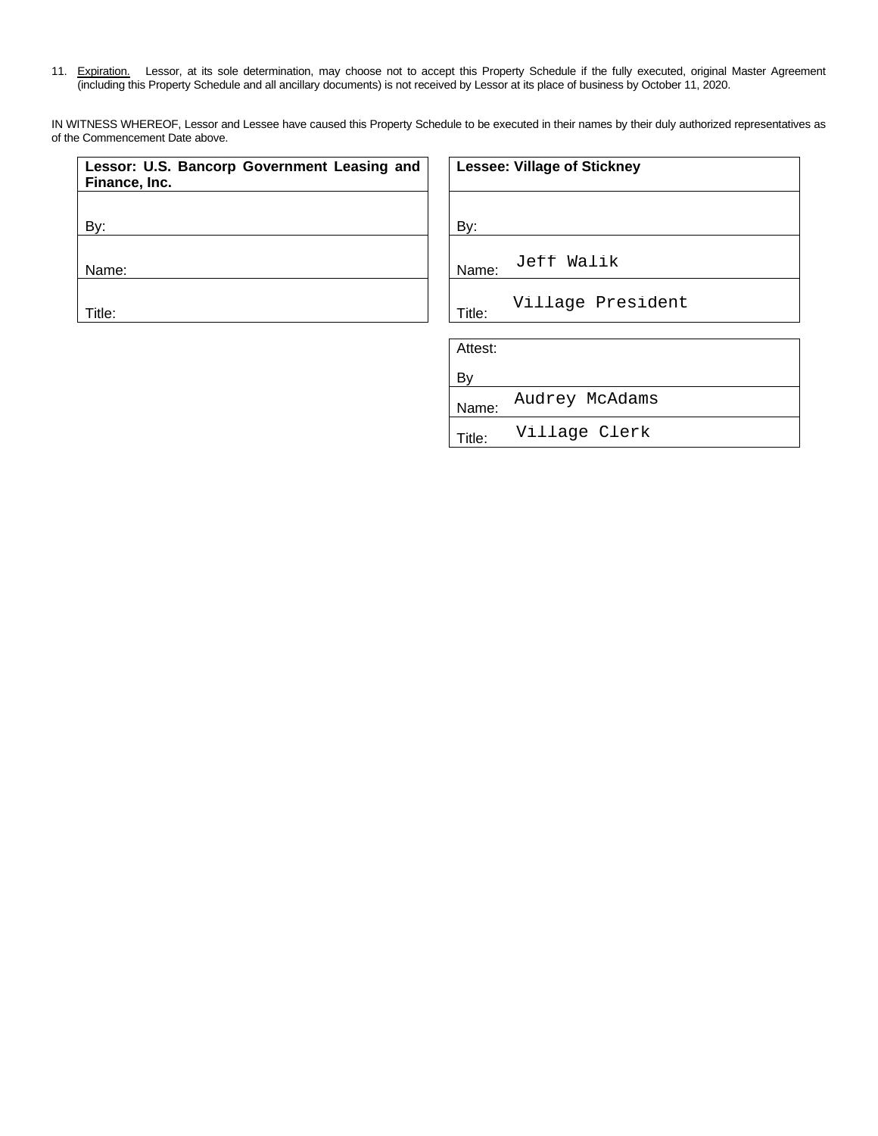11. Expiration. Lessor, at its sole determination, may choose not to accept this Property Schedule if the fully executed, original Master Agreement (including this Property Schedule and all ancillary documents) is not received by Lessor at its place of business by October 11, 2020.

IN WITNESS WHEREOF, Lessor and Lessee have caused this Property Schedule to be executed in their names by their duly authorized representatives as of the Commencement Date above.

| Lessor: U.S. Bancorp Government Leasing and<br>Finance, Inc. | <b>Lessee: Village of Stickney</b>  |
|--------------------------------------------------------------|-------------------------------------|
| By:                                                          | By:                                 |
| Name:                                                        | Jeff Walik<br>Name:                 |
| Title:                                                       | Village President<br>Title:         |
|                                                              | Attest:                             |
|                                                              | By                                  |
|                                                              | Audrey McAdams<br>Name:             |
|                                                              | Village Clerk<br>Title <sup>.</sup> |

Title: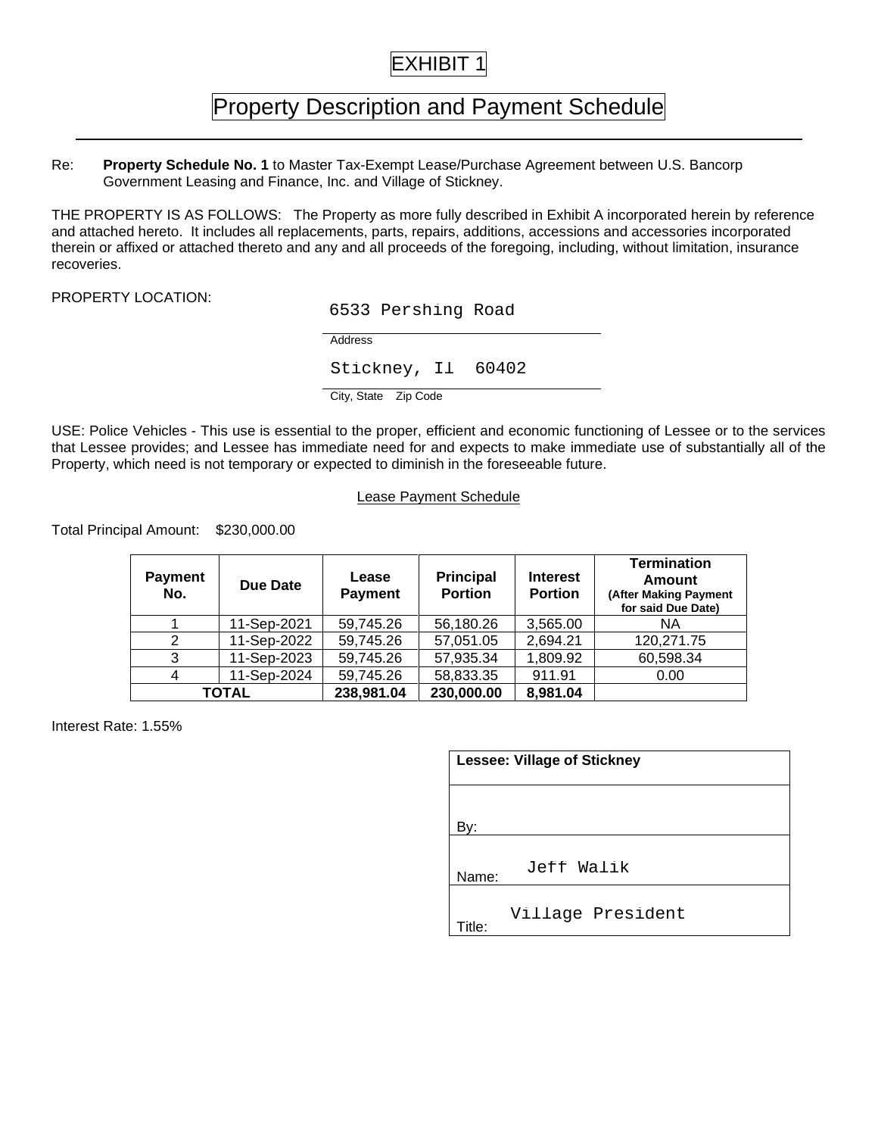# EXHIBIT 1

# Property Description and Payment Schedule

Re: **Property Schedule No. 1** to Master Tax-Exempt Lease/Purchase Agreement between U.S. Bancorp Government Leasing and Finance, Inc. and Village of Stickney.

THE PROPERTY IS AS FOLLOWS: The Property as more fully described in Exhibit A incorporated herein by reference and attached hereto. It includes all replacements, parts, repairs, additions, accessions and accessories incorporated therein or affixed or attached thereto and any and all proceeds of the foregoing, including, without limitation, insurance recoveries.

PROPERTY LOCATION:

6533 Pershing Road

Address

USE: Police Vehicles - This use is essential to the proper, efficient and economic functioning of Lessee or to the services that Lessee provides; and Lessee has immediate need for and expects to make immediate use of substantially all of the Property, which need is not temporary or expected to diminish in the foreseeable future.

### Lease Payment Schedule

Total Principal Amount: \$230,000.00

|                       |                                                                               |                         | Stickney, Il 60402                 |                                    |                                                                                                                                                                                                   |
|-----------------------|-------------------------------------------------------------------------------|-------------------------|------------------------------------|------------------------------------|---------------------------------------------------------------------------------------------------------------------------------------------------------------------------------------------------|
|                       |                                                                               | City, State Zip Code    |                                    |                                    |                                                                                                                                                                                                   |
|                       | hich need is not temporary or expected to diminish in the foreseeable future. |                         |                                    |                                    | Dehicles - This use is essential to the proper, efficient and economic functioning of Lessee or to<br>provides; and Lessee has immediate need for and expects to make immediate use of substantia |
|                       |                                                                               |                         | <b>Lease Payment Schedule</b>      |                                    |                                                                                                                                                                                                   |
| oal Amount:           | \$230,000.00                                                                  |                         |                                    |                                    |                                                                                                                                                                                                   |
| <b>Payment</b><br>No. | Due Date                                                                      | Lease<br><b>Payment</b> | <b>Principal</b><br><b>Portion</b> | <b>Interest</b><br><b>Portion</b>  | <b>Termination</b><br>Amount<br>(After Making Payment<br>for said Due Date)                                                                                                                       |
| 1                     | 11-Sep-2021                                                                   | 59,745.26               | 56,180.26                          | 3,565.00                           | NA                                                                                                                                                                                                |
| $\overline{2}$        | 11-Sep-2022                                                                   | 59,745.26               | 57,051.05                          | 2,694.21                           | 120,271.75                                                                                                                                                                                        |
| 3                     | 11-Sep-2023                                                                   | 59,745.26               | 57,935.34                          | 1,809.92                           | 60,598.34                                                                                                                                                                                         |
| 4                     | 11-Sep-2024                                                                   | 59,745.26               | 58,833.35                          | 911.91                             | 0.00                                                                                                                                                                                              |
|                       | <b>TOTAL</b>                                                                  | 238,981.04              | 230,000.00                         | 8,981.04                           |                                                                                                                                                                                                   |
| e: 1.55%              |                                                                               |                         |                                    | <b>Lessee: Village of Stickney</b> |                                                                                                                                                                                                   |
|                       |                                                                               |                         | By:                                |                                    |                                                                                                                                                                                                   |
|                       |                                                                               |                         | Nomo:                              | Jeff Walik                         |                                                                                                                                                                                                   |

Interest Rate: 1.55%

| <b>Lessee: Village of Stickney</b> |                   |  |
|------------------------------------|-------------------|--|
|                                    |                   |  |
| By:<br>Name:                       | Jeff Walik        |  |
| <b>Fitle:</b>                      | Village President |  |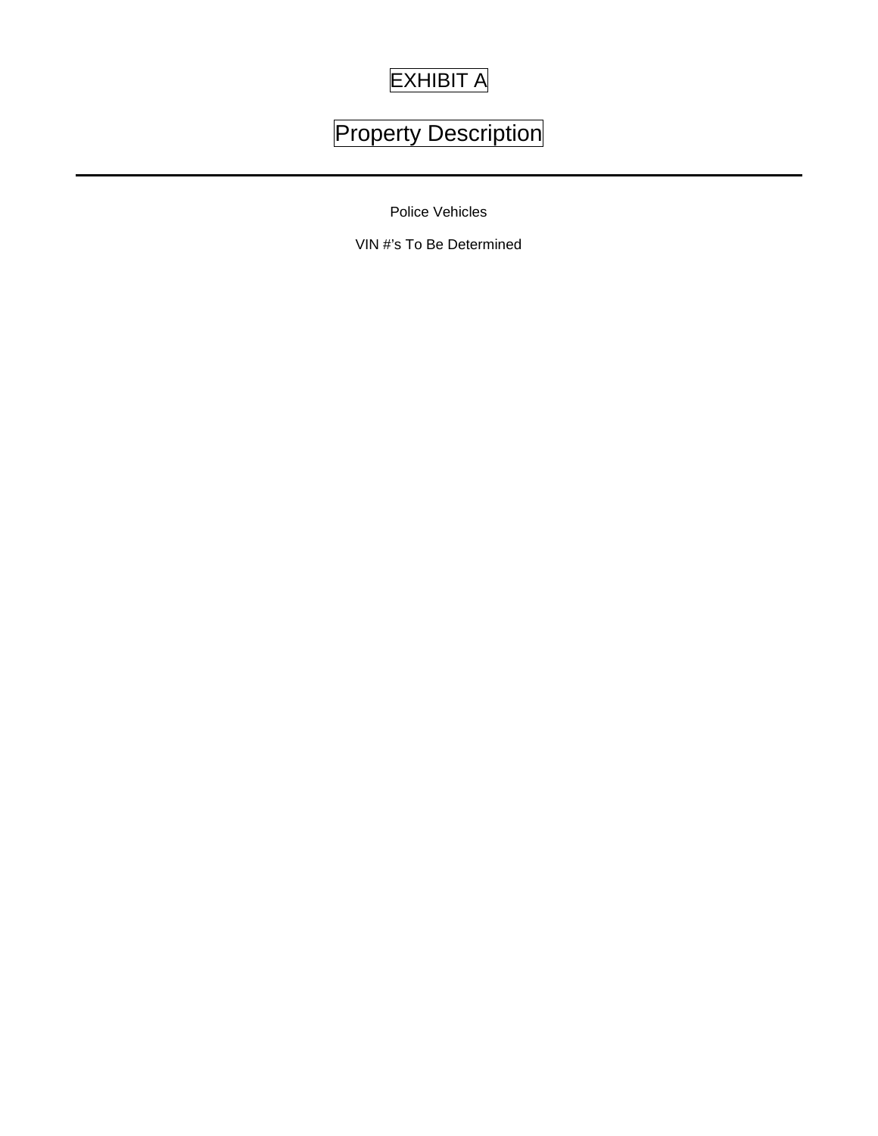# EXHIBIT A

# Property Description

Police Vehicles

VIN #'s To Be Determined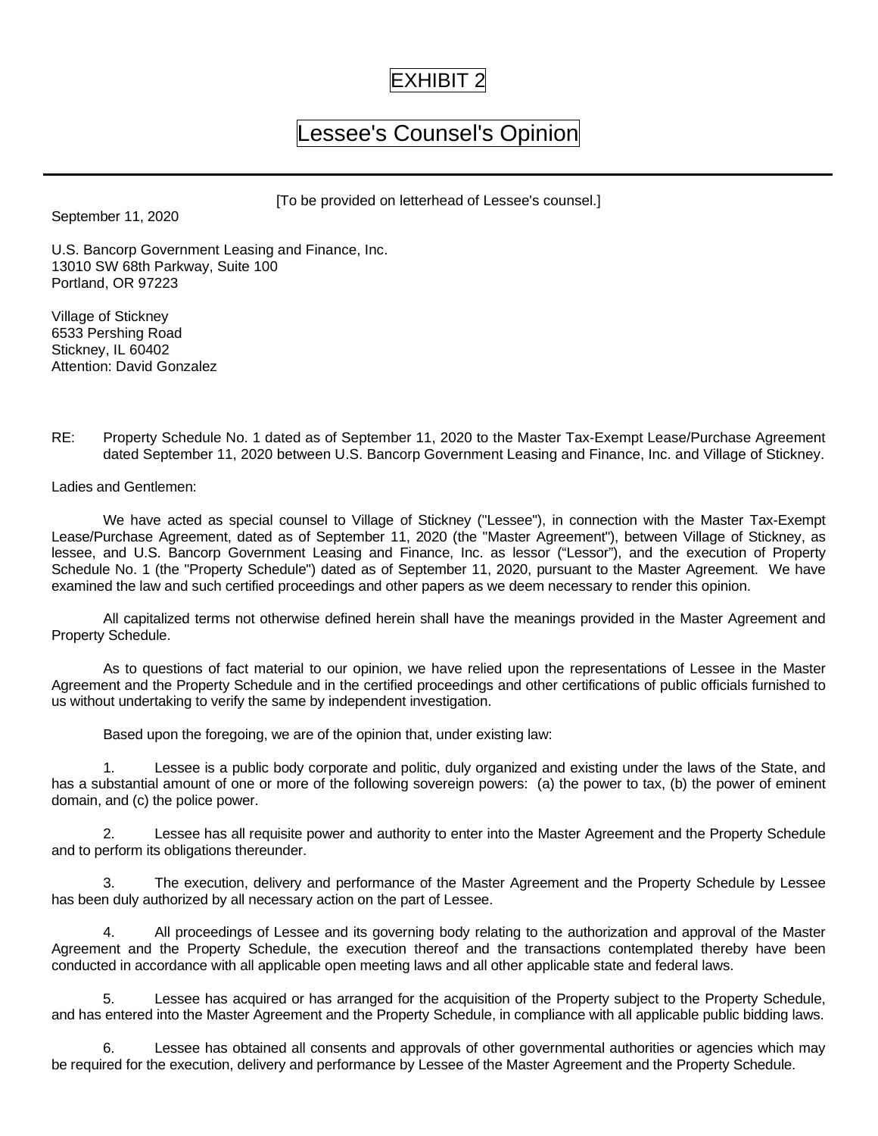## EXHIBIT 2

# Lessee's Counsel's Opinion

[To be provided on letterhead of Lessee's counsel.]

September 11, 2020

U.S. Bancorp Government Leasing and Finance, Inc. 13010 SW 68th Parkway, Suite 100 Portland, OR 97223

Village of Stickney 6533 Pershing Road Stickney, IL 60402 Attention: David Gonzalez

RE: Property Schedule No. 1 dated as of September 11, 2020 to the Master Tax-Exempt Lease/Purchase Agreement dated September 11, 2020 between U.S. Bancorp Government Leasing and Finance, Inc. and Village of Stickney.

Ladies and Gentlemen:

We have acted as special counsel to Village of Stickney ("Lessee"), in connection with the Master Tax-Exempt Lease/Purchase Agreement, dated as of September 11, 2020 (the "Master Agreement"), between Village of Stickney, as lessee, and U.S. Bancorp Government Leasing and Finance, Inc. as lessor ("Lessor"), and the execution of Property Schedule No. 1 (the "Property Schedule") dated as of September 11, 2020, pursuant to the Master Agreement. We have examined the law and such certified proceedings and other papers as we deem necessary to render this opinion.

All capitalized terms not otherwise defined herein shall have the meanings provided in the Master Agreement and Property Schedule.

As to questions of fact material to our opinion, we have relied upon the representations of Lessee in the Master Agreement and the Property Schedule and in the certified proceedings and other certifications of public officials furnished to us without undertaking to verify the same by independent investigation.

Based upon the foregoing, we are of the opinion that, under existing law:

1. Lessee is a public body corporate and politic, duly organized and existing under the laws of the State, and has a substantial amount of one or more of the following sovereign powers: (a) the power to tax, (b) the power of eminent domain, and (c) the police power.

2. Lessee has all requisite power and authority to enter into the Master Agreement and the Property Schedule and to perform its obligations thereunder.

3. The execution, delivery and performance of the Master Agreement and the Property Schedule by Lessee has been duly authorized by all necessary action on the part of Lessee.

4. All proceedings of Lessee and its governing body relating to the authorization and approval of the Master Agreement and the Property Schedule, the execution thereof and the transactions contemplated thereby have been conducted in accordance with all applicable open meeting laws and all other applicable state and federal laws.

Lessee has acquired or has arranged for the acquisition of the Property subject to the Property Schedule, and has entered into the Master Agreement and the Property Schedule, in compliance with all applicable public bidding laws.

6. Lessee has obtained all consents and approvals of other governmental authorities or agencies which may be required for the execution, delivery and performance by Lessee of the Master Agreement and the Property Schedule.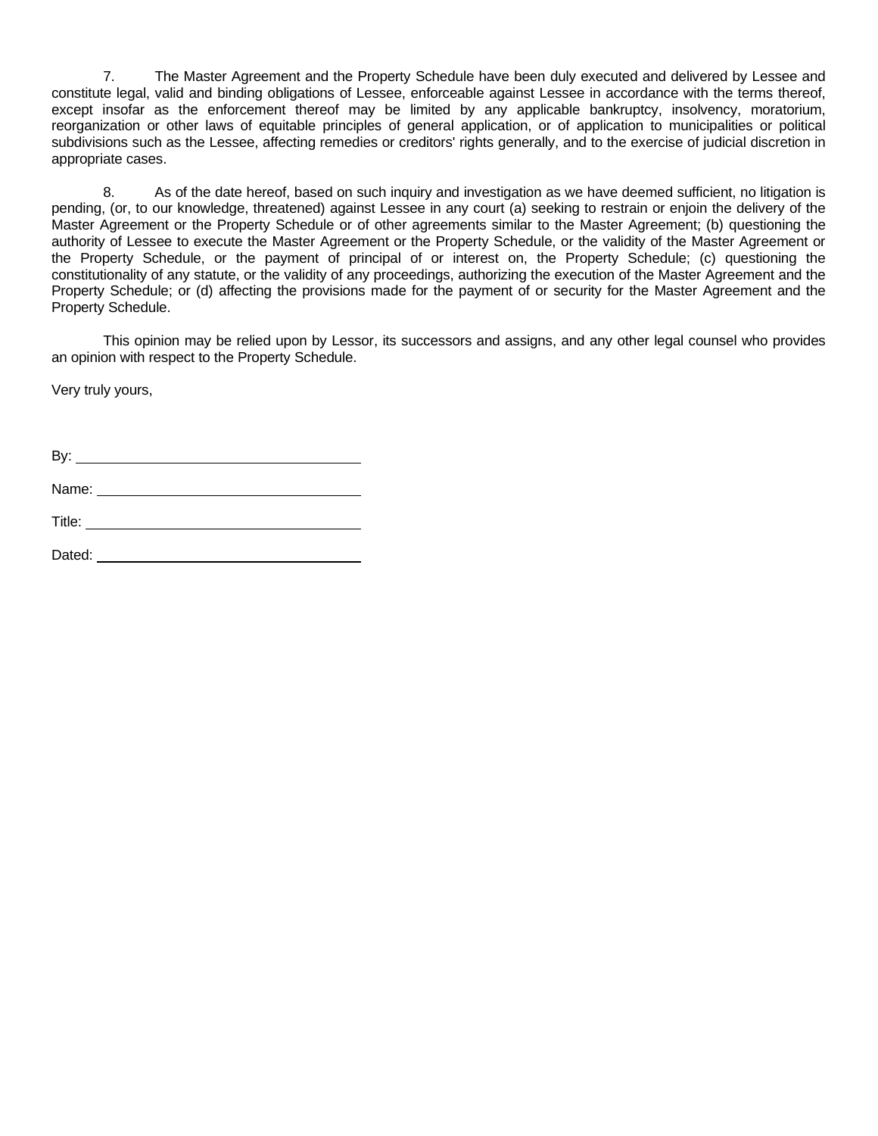7. The Master Agreement and the Property Schedule have been duly executed and delivered by Lessee and constitute legal, valid and binding obligations of Lessee, enforceable against Lessee in accordance with the terms thereof, except insofar as the enforcement thereof may be limited by any applicable bankruptcy, insolvency, moratorium, reorganization or other laws of equitable principles of general application, or of application to municipalities or political subdivisions such as the Lessee, affecting remedies or creditors' rights generally, and to the exercise of judicial discretion in appropriate cases.

8. As of the date hereof, based on such inquiry and investigation as we have deemed sufficient, no litigation is pending, (or, to our knowledge, threatened) against Lessee in any court (a) seeking to restrain or enjoin the delivery of the Master Agreement or the Property Schedule or of other agreements similar to the Master Agreement; (b) questioning the authority of Lessee to execute the Master Agreement or the Property Schedule, or the validity of the Master Agreement or the Property Schedule, or the payment of principal of or interest on, the Property Schedule; (c) questioning the constitutionality of any statute, or the validity of any proceedings, authorizing the execution of the Master Agreement and the Property Schedule; or (d) affecting the provisions made for the payment of or security for the Master Agreement and the Property Schedule.

This opinion may be relied upon by Lessor, its successors and assigns, and any other legal counsel who provides an opinion with respect to the Property Schedule.

Very truly yours,

By:

Name: Name: Name: Name: Name: Name: Name: Name: Name: Name: Name: Name: Name: Name: Name: Name: Name: Name: Name: Name: Name: Name: Name: Name: Name: Name: Name: Name: Name: Name: Name: Name: Name: Name: Name: Name: Name:

Title: **The Community of the Community of the Community of the Community of the Community of the Community of the Community of the Community of the Community of the Community of the Community of the Community of the Commun** 

Dated: **Dated: Dated: Dated: Dated: Dated: Property Property Property Property Property Property Property Property Property Property Property Property Property Property Property Prop**